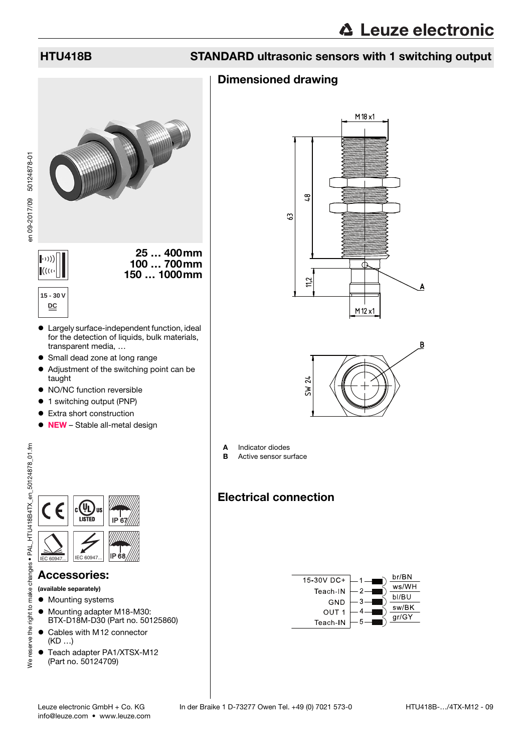en 09-2017/09 50124878-01

en 09-2017/09 50124878-01

## HTU418B STANDARD ultrasonic sensors with 1 switching output

## Dimensioned drawing



- Largely surface-independent function, ideal for the detection of liquids, bulk materials, transparent media, …
- Small dead zone at long range
- Adjustment of the switching point can be taught
- NO/NC function reversible
- 1 switching output (PNP)
- **•** Extra short construction
- NEW Stable all-metal design

the right to make changes • PAL HTU418B4TX en 50124878 01.fm We reserve the right to make changes • PAL\_HTU418B4TX\_en\_50124878\_01.fm



## Accessories:

(available separately)

- $\bullet$  Mounting systems
- $\bullet$  Mounting adapter M18-M30: BTX-D18M-D30 (Part no. 50125860)
- Cables with M12 connector (KD …)
- Teach adapter PA1/XTSX-M12 (Part no. 50124709)





A Indicator diodes

**B** Active sensor surface

## Electrical connection

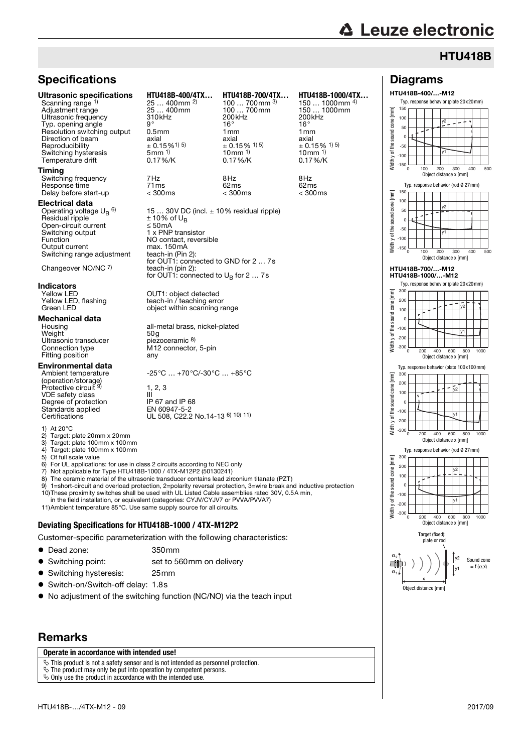Diagrams HTU418B-400/…-M12

y2

Typ. response behavior (plate 20x20mm)

E

## **HTU418B**

## **Specifications**

### Ultrasonic specifications **HTU418B-400/4TX… HTU418B-700/4TX… HTU418B-1000/4TX…**

Scanning range 1) Adjustment range 25 … 400mm 100 … 700mm 150 … 1<br>
Ultrasonic frequency 310kHz 200kHz 200kHz 200kHz<br>
Typ. opening angle 9° 9° 16° 16° 16° Ultrasonic frequency 310kHz 200<br>Typ opening angle 200 a<sup>o</sup> Typ. opening angle 9° 16° 16° Resolution switching output 0.5mm 1mm 1mm Direction of beam axial axial axial axial axial axial axial Reproducibility  $\pm 0.15\%$ 1) 5)<br>Switching hysteresis 5mm 1) Temperature drift

#### Timing

Switching frequency 7Hz 8Hz 8Hz Response time 71ms 62ms 62ms Delay before start-up

#### Electrical data

Operating voltage  $\mathsf{U_{B}}^{\mathsf{6}}$ Residual ripple  $\pm 10\%$  of U<sub>B</sub> Open-circuit current ≤ 50mA<br>Switching output 1 x PNP Switching output 1 x PNP transistor<br>Function MO contact reverse Output current Switching range adjustment

Changeover NO/NC 7)

## **Indicators**<br>Yellow LED

## **Mechanical data**<br>Housing

Weight 60g<br>
Ultrasonic transducer biezoceramic 8) Ultrasonic transducer<br>Connection type Fitting position

#### Environmental data

Ambient temperature (operation/storage) Protective circuit VDE safety class III<br>Degree of protection IP 67 and IP 68 Standards applied EN 60947-5-2<br>Certifications UL 508, C22.2

1) At  $20^{\circ}$ C<br>2) Target:

2) Target: plate  $20$ mm x  $20$ mm<br>3) Target: plate  $100$ mm x  $100$ m

Target: plate 100mm x 100mm

4) Target: plate 100mm x 100mm<br>5) Of full scale value

5) Of full scale value<br>6) For UL application For UL applications: for use in class 2 circuits according to NEC only

7) Not applicable for Type HTU418B-1000 / 4TX-M12P2 (50130241)

The ceramic material of the ultrasonic transducer contains lead zirconium titanate (PZT)

9) 1=short-circuit and overload protection, 2=polarity reversal protection, 3=wire break and inductive protection 10)These proximity switches shall be used with UL Listed Cable assemblies rated 30V, 0.5A min, in the field installation, or equivalent (categories: CYJV/CYJV7 or PVVA/PVVA7)

11)Ambient temperature 85°C. Use same supply source for all circuits.

#### **Deviating Specifications for HTU418B-1000 / 4TX-M12P2**

Customer-specific parameterization with the following characteristics:

| • Dead zone: | 350 <sub>mm</sub> |
|--------------|-------------------|
|              |                   |

- Switching point: set to 560mm on delivery
- Switching hysteresis: 25mm
- Switch-on/Switch-off delay: 1.8s
- No adjustment of the switching function (NC/NO) via the teach input

### Remarks

#### **Operate in accordance with intended use!**

 $\overline{\mathcal{C}}$  This product is not a safety sensor and is not intended as personnel protection.

 $\&$  The product may only be put into operation by competent persons.

 $\ddot{\mathbf{\diamond}}$  Only use the product in accordance with the intended use.



15 ... 30V DC (incl.  $\pm$  10% residual ripple)<br> $\pm$  10% of U<sub>R</sub> NO contact, reversible<br>max. 150mA max: 156112<br>teach-in (Pin 2):<br>for OUT1: connected to GND for 2 ... 7s teach-in (pin 2): for OUT1: connected to  $U_B$  for 2 ... 7s

Yellow LED <br>
Yellow LED, flashing 
Yellow LED, flashing<br>
teach-in / teaching error Yellow LED, flashing teach-in / teaching error<br>Green LED object within scanning rate object within scanning range

25 ... 400mm<sup>2)</sup><br>25 ... 400mm

all-metal brass, nickel-plated<br>50g M12 connector, 5-pin<br>any

-25°C … +70°C/-30°C … +85°C

 $1, 2, 3$ UL 508, C22.2 No.14-13 6) 10) 11)

 $\pm$  0.15% <sup>1) 5)</sup>  $\pm$  0.15% <sup>1) 5)</sup><br>10mm <sup>1)</sup> 10mm <sup>1)</sup>

150 ... 1000mm <sup>4)</sup><br>150 ... 1000mm

Width y of the sound cone [mm] sound cone of the s vidth Ē cone sound

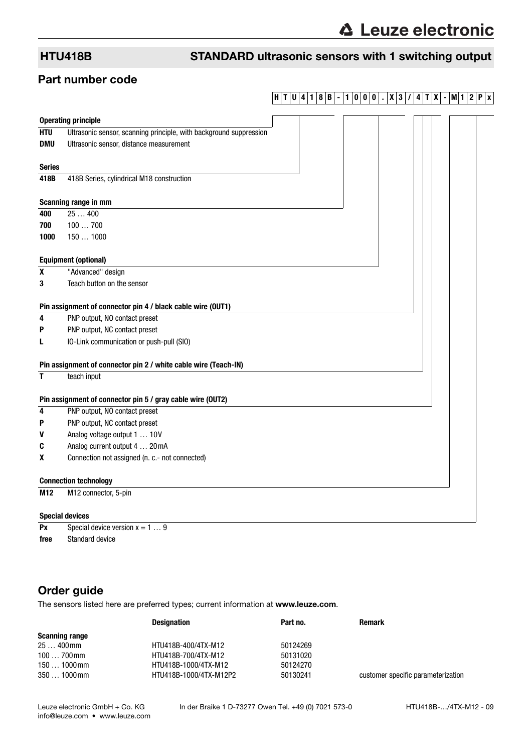## HTU418B STANDARD ultrasonic sensors with 1 switching output

## Part number code

## **H T U 4 1 8 B - 1 0 0 0 . X 3 / 4 T X - M1 2 P x**

|                              | <b>Operating principle</b>                                         |  |  |  |  |
|------------------------------|--------------------------------------------------------------------|--|--|--|--|
| <b>HTU</b>                   | Ultrasonic sensor, scanning principle, with background suppression |  |  |  |  |
| <b>DMU</b>                   | Ultrasonic sensor, distance measurement                            |  |  |  |  |
|                              |                                                                    |  |  |  |  |
| <b>Series</b>                |                                                                    |  |  |  |  |
| 418B                         | 418B Series, cylindrical M18 construction                          |  |  |  |  |
|                              |                                                                    |  |  |  |  |
|                              | Scanning range in mm                                               |  |  |  |  |
| 400                          | 25400                                                              |  |  |  |  |
| 700                          | 100700                                                             |  |  |  |  |
| 1000                         | 1501000                                                            |  |  |  |  |
|                              |                                                                    |  |  |  |  |
|                              | <b>Equipment (optional)</b>                                        |  |  |  |  |
| X                            | "Advanced" design                                                  |  |  |  |  |
| 3                            | Teach button on the sensor                                         |  |  |  |  |
|                              |                                                                    |  |  |  |  |
|                              | Pin assignment of connector pin 4 / black cable wire (OUT1)        |  |  |  |  |
| 4                            | PNP output, NO contact preset                                      |  |  |  |  |
| P                            | PNP output, NC contact preset                                      |  |  |  |  |
| L                            | IO-Link communication or push-pull (SIO)                           |  |  |  |  |
|                              | Pin assignment of connector pin 2 / white cable wire (Teach-IN)    |  |  |  |  |
| T                            | teach input                                                        |  |  |  |  |
|                              |                                                                    |  |  |  |  |
|                              | Pin assignment of connector pin 5 / gray cable wire (OUT2)         |  |  |  |  |
| 4                            | PNP output, NO contact preset                                      |  |  |  |  |
| P                            | PNP output, NC contact preset                                      |  |  |  |  |
| V                            | Analog voltage output 1  10V                                       |  |  |  |  |
| C                            | Analog current output 4  20 mA                                     |  |  |  |  |
| X                            | Connection not assigned (n. c.- not connected)                     |  |  |  |  |
| <b>Connection technology</b> |                                                                    |  |  |  |  |
| M12                          | M12 connector, 5-pin                                               |  |  |  |  |
|                              |                                                                    |  |  |  |  |
| <b>Special devices</b>       |                                                                    |  |  |  |  |

**Px** Special device version  $x = 1 ... 9$ **free** Standard device

## Order guide

The sensors listed here are preferred types; current information at www.leuze.com.

|                       | <b>Designation</b>     | Part no. | Remark                             |
|-----------------------|------------------------|----------|------------------------------------|
| <b>Scanning range</b> |                        |          |                                    |
| $25400$ mm            | HTU418B-400/4TX-M12    | 50124269 |                                    |
| $100700$ mm           | HTU418B-700/4TX-M12    | 50131020 |                                    |
| $1501000$ mm          | HTU418B-1000/4TX-M12   | 50124270 |                                    |
| $3501000$ mm          | HTU418B-1000/4TX-M12P2 | 50130241 | customer specific parameterization |